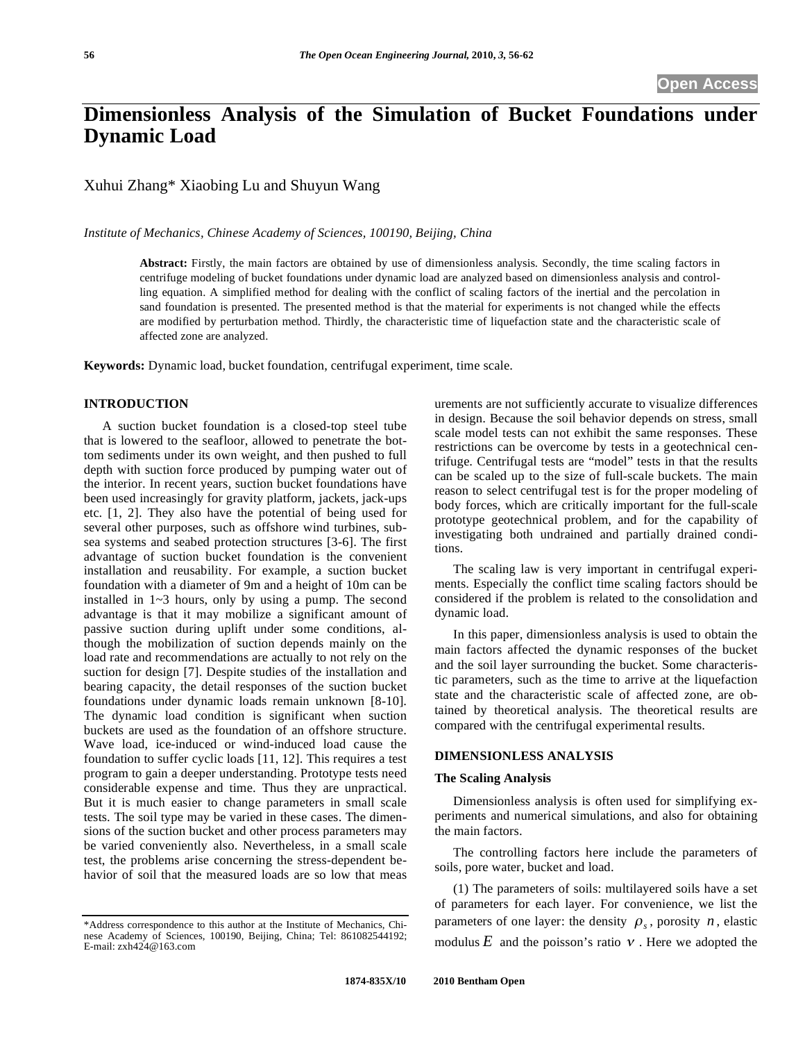# **Dimensionless Analysis of the Simulation of Bucket Foundations under Dynamic Load**

Xuhui Zhang\* Xiaobing Lu and Shuyun Wang

*Institute of Mechanics, Chinese Academy of Sciences, 100190, Beijing, China* 

**Abstract:** Firstly, the main factors are obtained by use of dimensionless analysis. Secondly, the time scaling factors in centrifuge modeling of bucket foundations under dynamic load are analyzed based on dimensionless analysis and controlling equation. A simplified method for dealing with the conflict of scaling factors of the inertial and the percolation in sand foundation is presented. The presented method is that the material for experiments is not changed while the effects are modified by perturbation method. Thirdly, the characteristic time of liquefaction state and the characteristic scale of affected zone are analyzed.

**Keywords:** Dynamic load, bucket foundation, centrifugal experiment, time scale.

## **INTRODUCTION**

A suction bucket foundation is a closed-top steel tube that is lowered to the seafloor, allowed to penetrate the bottom sediments under its own weight, and then pushed to full depth with suction force produced by pumping water out of the interior. In recent years, suction bucket foundations have been used increasingly for gravity platform, jackets, jack-ups etc. [1, 2]. They also have the potential of being used for several other purposes, such as offshore wind turbines, subsea systems and seabed protection structures [3-6]. The first advantage of suction bucket foundation is the convenient installation and reusability. For example, a suction bucket foundation with a diameter of 9m and a height of 10m can be installed in 1~3 hours, only by using a pump. The second advantage is that it may mobilize a significant amount of passive suction during uplift under some conditions, although the mobilization of suction depends mainly on the load rate and recommendations are actually to not rely on the suction for design [7]. Despite studies of the installation and bearing capacity, the detail responses of the suction bucket foundations under dynamic loads remain unknown [8-10]. The dynamic load condition is significant when suction buckets are used as the foundation of an offshore structure. Wave load, ice-induced or wind-induced load cause the foundation to suffer cyclic loads [11, 12]. This requires a test program to gain a deeper understanding. Prototype tests need considerable expense and time. Thus they are unpractical. But it is much easier to change parameters in small scale tests. The soil type may be varied in these cases. The dimensions of the suction bucket and other process parameters may be varied conveniently also. Nevertheless, in a small scale test, the problems arise concerning the stress-dependent behavior of soil that the measured loads are so low that meas

urements are not sufficiently accurate to visualize differences in design. Because the soil behavior depends on stress, small scale model tests can not exhibit the same responses. These restrictions can be overcome by tests in a geotechnical centrifuge. Centrifugal tests are "model" tests in that the results can be scaled up to the size of full-scale buckets. The main reason to select centrifugal test is for the proper modeling of body forces, which are critically important for the full-scale prototype geotechnical problem, and for the capability of investigating both undrained and partially drained conditions.

The scaling law is very important in centrifugal experiments. Especially the conflict time scaling factors should be considered if the problem is related to the consolidation and dynamic load.

In this paper, dimensionless analysis is used to obtain the main factors affected the dynamic responses of the bucket and the soil layer surrounding the bucket. Some characteristic parameters, such as the time to arrive at the liquefaction state and the characteristic scale of affected zone, are obtained by theoretical analysis. The theoretical results are compared with the centrifugal experimental results.

### **DIMENSIONLESS ANALYSIS**

## **The Scaling Analysis**

Dimensionless analysis is often used for simplifying experiments and numerical simulations, and also for obtaining the main factors.

The controlling factors here include the parameters of soils, pore water, bucket and load.

(1) The parameters of soils: multilayered soils have a set of parameters for each layer. For convenience, we list the parameters of one layer: the density  $\rho_s$ , porosity *n*, elastic modulus  $E$  and the poisson's ratio  $\nu$ . Here we adopted the

<sup>\*</sup>Address correspondence to this author at the Institute of Mechanics, Chinese Academy of Sciences, 100190, Beijing, China; Tel: 861082544192; E-mail: zxh424@163.com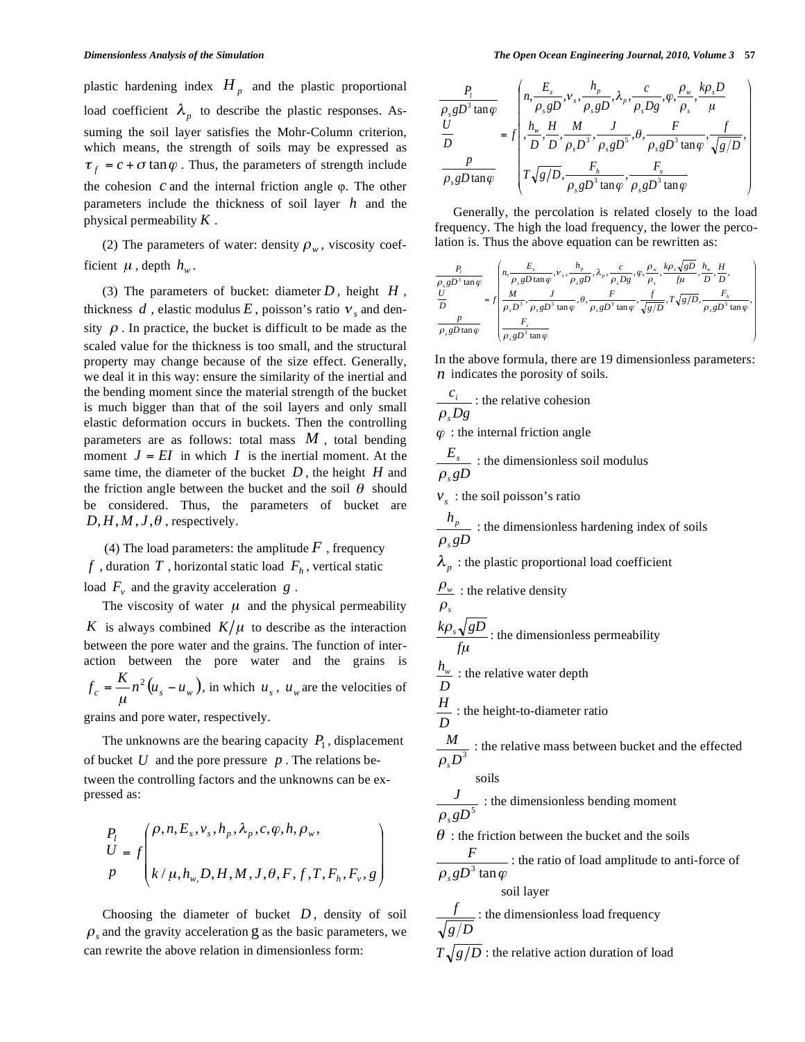plastic hardening index  $H_p$  and the plastic proportional load coefficient  $\lambda_p$  to describe the plastic responses. Assuming the soil layer satisfies the Mohr-Column criterion, which means, the strength of soils may be expressed as  $\tau_f = c + \sigma \tan \varphi$ . Thus, the parameters of strength include the cohesion  $c$  and the internal friction angle  $\varphi$ . The other parameters include the thickness of soil layer *h* and the physical permeability *K* .

(2) The parameters of water: density  $\rho_w$ , viscosity coefficient  $\mu$ , depth  $h_w$ .

(3) The parameters of bucket: diameter  $D$ , height  $H$ , thickness  $d$ , elastic modulus  $E$ , poisson's ratio  $v<sub>s</sub>$  and density  $\rho$ . In practice, the bucket is difficult to be made as the scaled value for the thickness is too small, and the structural property may change because of the size effect. Generally, we deal it in this way: ensure the similarity of the inertial and the bending moment since the material strength of the bucket is much bigger than that of the soil layers and only small elastic deformation occurs in buckets. Then the controlling parameters are as follows: total mass *M* , total bending moment  $J = EI$  in which *I* is the inertial moment. At the same time, the diameter of the bucket *D* , the height *H* and the friction angle between the bucket and the soil  $\theta$  should be considered. Thus, the parameters of bucket are  $D, H, M, J, \theta$ , respectively.

(4) The load parameters: the amplitude  $F$ , frequency  $f$ , duration  $T$ , horizontal static load  $F_h$ , vertical static load  $F_v$  and the gravity acceleration  $g$ .

The viscosity of water  $\mu$  and the physical permeability *K* is always combined  $K/\mu$  to describe as the interaction between the pore water and the grains. The function of interaction between the pore water and the grains is  $f_c = \frac{K}{\mu} n^2 (u_s - u_w)$ , in which  $u_s$ ,  $u_w$  are the velocities of

grains and pore water, respectively.

The unknowns are the bearing capacity  $P_1$ , displacement of bucket *U* and the pore pressure *p* . The relations between the controlling factors and the unknowns can be expressed as:

$$
\begin{aligned}\nP_l \\
U &= f\left(k/\mu, h_w, D, H, M, J, \theta, F, f, T, F_h, F_v, g\right) \\
P\n\end{aligned}
$$

Choosing the diameter of bucket  $D$ , density of soil  $\rho$ , and the gravity acceleration g as the basic parameters, we can rewrite the above relation in dimensionless form:

$$
\frac{P_i}{\rho_s g D^3 \tan \varphi} = f \left( \frac{n, \frac{E_s}{\rho_s g D}, v_s, \frac{h_p}{\rho_s g D}, \lambda_p, \frac{c}{\rho_s D g}, \varphi, \frac{\rho_w}{\rho_s}, \frac{k \rho_s D}{\mu}}{ \frac{h_w}{D}, \frac{H}{D}, \frac{M}{D}, \frac{J}{\rho_s D^3}, \frac{J}{\rho_s g D^5}, \theta, \frac{F}{\rho_s g D^3 \tan \varphi}, \frac{f}{\sqrt{g/D}}, \frac{p}{\rho_s g D \tan \varphi} \right)
$$

Generally, the percolation is related closely to the load frequency. The high the load frequency, the lower the percolation is. Thus the above equation can be rewritten as:

$$
\frac{P_i}{\rho_s g D^3 \tan \varphi} \quad \left( n, \frac{E_s}{\rho_s g D \tan \varphi}, v_s, \frac{h_\rho}{\rho_s g D}, \lambda_\rho, \frac{c}{\rho_s g}, \varphi, \frac{\rho_w}{\rho_s}, \frac{k \rho_s \sqrt{g D}}{f \mu}, \frac{h_w}{D}, \frac{H}{D}, \frac{H}{D}, \frac{U}{D} \right)
$$
\n
$$
\frac{U}{D} = f \left( \frac{M}{\rho_s D^3}, \frac{J}{\rho_s g D^5 \tan \varphi}, \theta, \frac{F}{\rho_s g D^3 \tan \varphi}, \frac{f}{\sqrt{g/D}}, T \sqrt{g/D}, \frac{F_h}{\rho_s g D^3 \tan \varphi}, \frac{p}{\rho_s g D^3 \tan \varphi} \right)
$$

In the above formula, there are 19 dimensionless parameters: *n* indicates the porosity of soils.

$$
\frac{c_i}{\rho_s D g}
$$
: the relative cohesion

 $\varphi$ : the internal friction angle

$$
\frac{E_s}{\rho_s g D}
$$
: the dimensionless soil modulus

 $v<sub>s</sub>$  : the soil poisson's ratio

$$
\frac{h_p}{\rho_s g D}
$$
: the dimensionless hardening index of soils  
\n $\lambda_p$ : the plastic proportional load coefficient  
\n $\frac{\rho_w}{\rho_s}$ : the relative density  
\n $\frac{k\rho_s \sqrt{g D}}{f \mu}$ : the dimensionless permeability  
\n $\frac{h_w}{D}$ : the relative water depth  
\n $\frac{H}{D}$ : the height-to-diameter ratio  
\n $\frac{M}{\rho_s D^3}$ : the relative mass between bucket and the effected  
\nsoids  
\n $\frac{J}{\rho_s g D^5}$ : the dimensionless bending moment  
\n $\frac{F}{\rho_s g D^5}$ : the friction between the bucket and the soils  
\n $\frac{F}{\rho_s g D^3 \tan \varphi}$ : the ratio of load amplitude to anti-force of  
\n $\frac{f}{\sqrt{g/D}}$ : the dimensionless load frequency  
\n $T \sqrt{g/D}$ : the relative action duration of load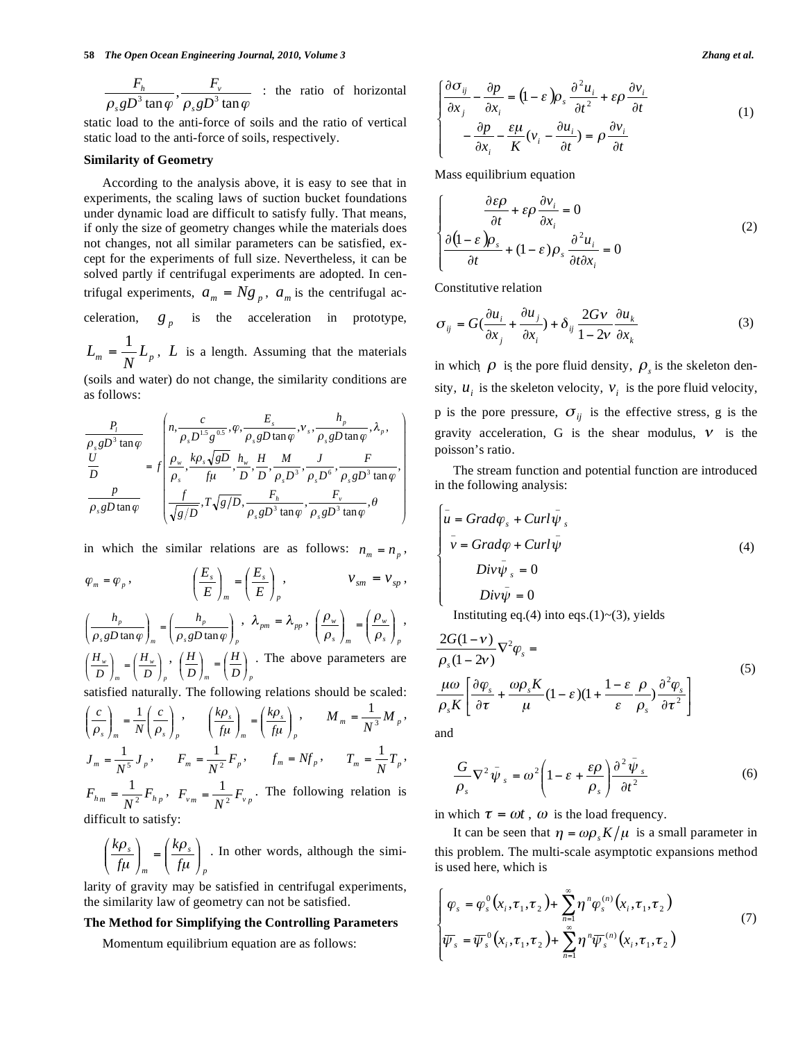$\frac{F_h}{\rho_s g D^3 \tan\varphi}, \frac{F_v}{\rho_s g D^3 \tan\varphi}$ *gD F s v s*  $\frac{h}{\cdot}$ ,  $\frac{F_v}{\cdot}$  : the ratio of horizontal

static load to the anti-force of soils and the ratio of vertical static load to the anti-force of soils, respectively.

# **Similarity of Geometry**

According to the analysis above, it is easy to see that in experiments, the scaling laws of suction bucket foundations under dynamic load are difficult to satisfy fully. That means, if only the size of geometry changes while the materials does not changes, not all similar parameters can be satisfied, except for the experiments of full size. Nevertheless, it can be solved partly if centrifugal experiments are adopted. In centrifugal experiments,  $a_m = Ng_p$ ,  $a_m$  is the centrifugal acceleration,  $g_p$  is the acceleration in prototype,  $L_m = \frac{1}{N} L_p$ , *L* is a length. Assuming that the materials

(soils and water) do not change, the similarity conditions are as follows:

$$
\frac{P_i}{\rho_s g D^3 \tan \varphi} = f \left( \frac{n, \frac{c}{\rho_s D^{1.5} g^{0.5}}, \varphi, \frac{E_s}{\rho_s g D \tan \varphi}, \nu_s, \frac{h_p}{\rho_s g D \tan \varphi}, \lambda_p, \frac{U}{D} \right)
$$
\n
$$
\frac{U}{D} = f \left( \frac{\rho_w}{\rho_s}, \frac{k \rho_s \sqrt{g D}}{f \mu}, \frac{h_w}{D}, \frac{H}{D}, \frac{M}{\rho_s D^3}, \frac{J}{\rho_s D^6}, \frac{F}{\rho_s g D^3 \tan \varphi}, \frac{p}{\rho_s g D \tan \varphi}, \frac{F}{\rho_s g D \tan \varphi}, \frac{F}{\rho_s g D^3 \tan \varphi}, \frac{F}{\rho_s g D^3 \tan \varphi} \right)
$$

in which the similar relations are as follows:  $n_m = n_p$ ,

$$
\varphi_m = \varphi_p, \qquad \qquad \left(\frac{E_s}{E}\right)_m = \left(\frac{E_s}{E}\right)_p, \qquad \qquad \nu_{sm} = \nu_{sp},
$$

 $\beta$ <sup>*p*</sup>  $\mu$ <sup>*p*</sup> *p*  $s$ *s*  $\mu$  and  $\mu$   $\mu$ *p gD h gD h* J ļ Ι I  $\bigg)_{m}$  =  $\bigg($ ļ Ι I \ ſ  $\left(\frac{h_p}{\rho_{\gamma}gD\tan\varphi}\right)_= \left(\frac{h_p}{\rho_{\gamma}gD\tan\varphi}\right)_-, \ \lambda_{pm} = \lambda_{pp},$ *s p w s m*  $\left| \begin{array}{c} w \\ w \end{array} \right| = \left| \begin{array}{c} P_w \\ Q \end{array} \right|$ Į Ι I \  $=$ Į Ι I \ ρ ρ ρ  $\left(\frac{\rho_w}{\rho_w}\right)$   $\left(\frac{\rho_w}{\rho_w}\right)$ , *p w m*  $\left(\frac{w}{D}\right)_m = \left(\frac{H_y}{D}\right)$ *H*  $\left(\frac{H_w}{D}\right)_m = \left(\frac{H_w}{D}\right)$  $(H_w)$   $(H_w)$ ,  $\left\langle D\right\rangle_{p}$ *H*  $\left(\frac{H}{D}\right)_m = \left(\frac{H}{D}\right)$  $\left(\frac{H}{H}\right)$   $\left(\frac{H}{H}\right)$ . The above parameters are

satisfied naturally. The following relations should be scaled: *s*  $/m$  *i*  $\left\{ P_s \right\} p$ *c N c*  $\vert$ Į Ι I ∖  $\Bigg| = \frac{1}{N} \Bigg($ Į Ι I ∖ -  $\rho_s$   $\int_{\mathfrak{m}} N(\rho)$  $\frac{1}{c}$ , *p s m*  $\left(\frac{s}{t}\right)_{t} = \left(\frac{\lambda f}{f}\right)$ *k f k*  $\overline{\phantom{a}}$ Į Ι I ∖  $=$ ļ Ι I \ μ  $\rho$  $\left(\frac{\rho_s}{\mu}\right)_m = \left(\frac{k\rho_s}{f\mu}\right)_n$ ,  $M_m = \frac{1}{N^3} M_p$ ,  $J_m = \frac{1}{N^5} J_p$ ,  $F_m = \frac{1}{N^2} F_p$ ,  $f_m = N f_p$ ,  $T_m = \frac{1}{N} T_p$ ,  $F_{hm} = \frac{1}{N^2} F_{hp}$ ,  $F_{vm} = \frac{1}{N^2} F_{vp}$ . The following relation is

difficult to satisfy:

$$
\left(\frac{k\rho_s}{f\mu}\right)_m = \left(\frac{k\rho_s}{f\mu}\right)_p
$$
. In other words, although the simi-

larity of gravity may be satisfied in centrifugal experiments, the similarity law of geometry can not be satisfied.

## **The Method for Simplifying the Controlling Parameters**

Momentum equilibrium equation are as follows:

$$
\begin{cases}\n\frac{\partial \sigma_{ij}}{\partial x_j} - \frac{\partial p}{\partial x_i} = (1 - \varepsilon) \rho_s \frac{\partial^2 u_i}{\partial t^2} + \varepsilon \rho \frac{\partial v_i}{\partial t} \\
-\frac{\partial p}{\partial x_i} - \frac{\varepsilon \mu}{K} (v_i - \frac{\partial u_i}{\partial t}) = \rho \frac{\partial v_i}{\partial t}\n\end{cases}
$$
\n(1)

Mass equilibrium equation

$$
\begin{cases}\n\frac{\partial \varepsilon \rho}{\partial t} + \varepsilon \rho \frac{\partial v_i}{\partial x_i} = 0 \\
\frac{\partial (1 - \varepsilon) \rho_s}{\partial t} + (1 - \varepsilon) \rho_s \frac{\partial^2 u_i}{\partial t \partial x_i} = 0\n\end{cases}
$$
\n(2)

Constitutive relation

$$
\sigma_{ij} = G(\frac{\partial u_i}{\partial x_j} + \frac{\partial u_j}{\partial x_i}) + \delta_{ij} \frac{2Gv}{1 - 2v} \frac{\partial u_k}{\partial x_k}
$$
(3)

in which  $\rho$  is the pore fluid density,  $\rho_s$  is the skeleton density,  $u_i$  is the skeleton velocity,  $v_i$  is the pore fluid velocity, p is the pore pressure,  $\sigma_{ij}$  is the effective stress, g is the gravity acceleration, G is the shear modulus,  $\nu$  is the poisson's ratio.

The stream function and potential function are introduced in the following analysis:

$$
\begin{cases}\n\bar{u} = Grad\varphi_s + Curl\bar{\psi}_s \\
\bar{v} = Grad\varphi + Curl\bar{\psi} \\
Div\bar{\psi}_s = 0 \\
Div\bar{\psi} = 0\n\end{cases}
$$
\n(4)

Instituting eq.(4) into eqs.(1)~(3), yields

$$
\frac{2G(1-\nu)}{\rho_s(1-2\nu)}\nabla^2\varphi_s =
$$
\n
$$
\frac{\mu\omega}{\rho_s K} \left[ \frac{\partial \varphi_s}{\partial \tau} + \frac{\omega \rho_s K}{\mu} (1-\varepsilon)(1 + \frac{1-\varepsilon}{\varepsilon} \frac{\rho}{\rho_s}) \frac{\partial^2 \varphi_s}{\partial \tau^2} \right]
$$
\n(5)

and

$$
\frac{G}{\rho_s} \nabla^2 \bar{\psi}_s = \omega^2 \left( 1 - \varepsilon + \frac{\varepsilon \rho}{\rho_s} \right) \frac{\partial^2 \bar{\psi}_s}{\partial t^2}
$$
(6)

in which  $\tau = \omega t$ ,  $\omega$  is the load frequency.

It can be seen that  $\eta = \omega \rho_s K / \mu$  is a small parameter in this problem. The multi-scale asymptotic expansions method is used here, which is

$$
\begin{cases}\n\varphi_s = \varphi_s^0(x_i, \tau_1, \tau_2) + \sum_{n=1}^{\infty} \eta^n \varphi_s^{(n)}(x_i, \tau_1, \tau_2) \\
\overline{\psi}_s = \overline{\psi}_s^0(x_i, \tau_1, \tau_2) + \sum_{n=1}^{\infty} \eta^n \overline{\psi}_s^{(n)}(x_i, \tau_1, \tau_2)\n\end{cases} (7)
$$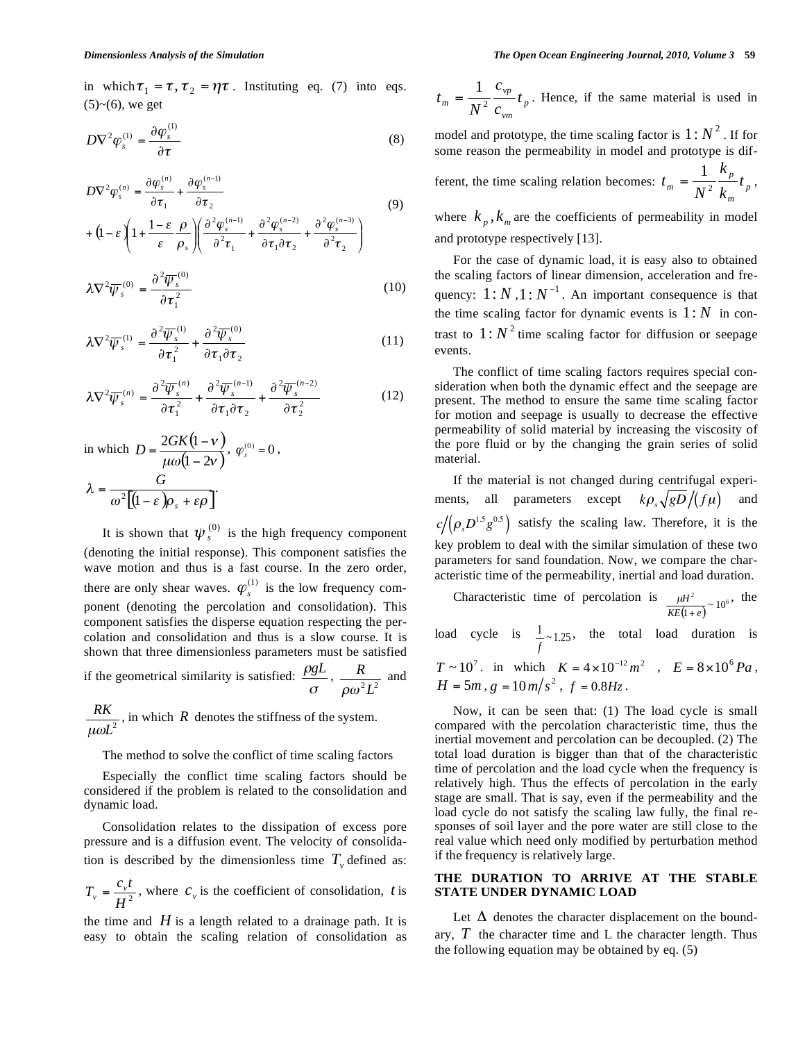in which  $\tau_1 = \tau, \tau_2 = \eta \tau$ . Instituting eq. (7) into eqs.  $(5)~(6)$ , we get

$$
D\nabla^2 \varphi_s^{(1)} = \frac{\partial \varphi_s^{(1)}}{\partial \tau}
$$
 (8)

$$
D\nabla^2 \varphi_s^{(n)} = \frac{\partial \varphi_s^{(n)}}{\partial \tau_1} + \frac{\partial \varphi_s^{(n-1)}}{\partial \tau_2}
$$
(9)  
+ 
$$
\left(1 - \varepsilon \left(1 + \frac{1 - \varepsilon}{\varepsilon} \frac{\rho}{\rho_s}\right) \left(\frac{\partial^2 \varphi_s^{(n-1)}}{\partial^2 \tau_1} + \frac{\partial^2 \varphi_s^{(n-2)}}{\partial \tau_1 \partial \tau_2} + \frac{\partial^2 \varphi_s^{(n-3)}}{\partial^2 \tau_2}\right)\right)
$$

$$
\lambda \nabla^2 \overline{\psi}_s^{(0)} = \frac{\partial^2 \overline{\psi}_s^{(0)}}{\partial \tau_1^2} \tag{10}
$$

$$
\lambda \nabla^2 \overline{\psi}_s^{(1)} = \frac{\partial^2 \overline{\psi}_s^{(1)}}{\partial \tau_1^2} + \frac{\partial^2 \overline{\psi}_s^{(0)}}{\partial \tau_1 \partial \tau_2}
$$
(11)

$$
\lambda \nabla^2 \overline{\psi}_s^{(n)} = \frac{\partial^2 \overline{\psi}_s^{(n)}}{\partial \tau_1^2} + \frac{\partial^2 \overline{\psi}_s^{(n-1)}}{\partial \tau_1 \partial \tau_2} + \frac{\partial^2 \overline{\psi}_s^{(n-2)}}{\partial \tau_2^2}
$$
(12)

in which 
$$
D = \frac{2GK(1 - v)}{\mu \omega(1 - 2v)}, \varphi_s^{(0)} = 0,
$$

$$
\lambda = \frac{G}{\omega^2 [(1 - \varepsilon)\rho_s + \varepsilon\rho]}.
$$

It is shown that  $\psi_s^{(0)}$  is the high frequency component (denoting the initial response). This component satisfies the wave motion and thus is a fast course. In the zero order, there are only shear waves.  $\varphi_s^{(1)}$  is the low frequency component (denoting the percolation and consolidation). This component satisfies the disperse equation respecting the percolation and consolidation and thus is a slow course. It is shown that three dimensionless parameters must be satisfied if the geometrical similarity is satisfied:  $\frac{\rho g L}{\sigma}$ ,  $\frac{R}{\rho \omega^2 L^2}$  $\rho\omega$ and

 $L^2$ *RK* μω , in which  $R$  denotes the stiffness of the system.

## The method to solve the conflict of time scaling factors

Especially the conflict time scaling factors should be considered if the problem is related to the consolidation and dynamic load.

Consolidation relates to the dissipation of excess pore pressure and is a diffusion event. The velocity of consolidation is described by the dimensionless time  $T_{v}$  defined as:

 $H^2$  $T_v = \frac{c_v t}{\pi r^2}$ , where  $c_v$  is the coefficient of consolidation, *t* is

the time and  $H$  is a length related to a drainage path. It is easy to obtain the scaling relation of consolidation as

*p vm*  $v_{m} = \frac{1}{N^{2}} \frac{c_{vp}}{c_{vm}} t$ *c*  $t_m = \frac{1}{N^2} \frac{c_{vp}}{c_{vm}} t_p$ . Hence, if the same material is used in

model and prototype, the time scaling factor is  $1: N^2$ . If for some reason the permeability in model and prototype is different, the time scaling relation becomes:  $t_m = \frac{p}{M^2} \frac{p}{L} t_p$ *m*  $m = \frac{1}{N^2} \frac{\kappa_p}{k_m} t$ *k*  $t_m = \frac{1}{N^2} \frac{k_p}{k_m} t_p$ ,

where  $k_p$ ,  $k_m$  are the coefficients of permeability in model and prototype respectively [13].

For the case of dynamic load, it is easy also to obtained the scaling factors of linear dimension, acceleration and frequency:  $1:N, 1:N^{-1}$ . An important consequence is that the time scaling factor for dynamic events is  $1:N$  in contrast to  $1:N^2$  time scaling factor for diffusion or seepage events.

The conflict of time scaling factors requires special consideration when both the dynamic effect and the seepage are present. The method to ensure the same time scaling factor for motion and seepage is usually to decrease the effective permeability of solid material by increasing the viscosity of the pore fluid or by the changing the grain series of solid material.

If the material is not changed during centrifugal experiments, all parameters except  $k\rho_s \sqrt{gD}/(f\mu)$  and  $c/(\rho_{\rm s}D^{1.5}g^{0.5})$  satisfy the scaling law. Therefore, it is the key problem to deal with the similar simulation of these two parameters for sand foundation. Now, we compare the characteristic time of the permeability, inertial and load duration.

Characteristic time of percolation is 
$$
\frac{\mu H^2}{KE(1+e)} \sim 10^6
$$
, the

load cycle is  $\frac{1}{f} \sim 1.25$ , the total load duration is

 $T \sim 10^7$ . in which  $K = 4 \times 10^{-12} m^2$ ,  $E = 8 \times 10^6 Pa$ ,  $H = 5m$ ,  $g = 10m/s^2$ ,  $f = 0.8Hz$ .

Now, it can be seen that: (1) The load cycle is small compared with the percolation characteristic time, thus the inertial movement and percolation can be decoupled. (2) The total load duration is bigger than that of the characteristic time of percolation and the load cycle when the frequency is relatively high. Thus the effects of percolation in the early stage are small. That is say, even if the permeability and the load cycle do not satisfy the scaling law fully, the final responses of soil layer and the pore water are still close to the real value which need only modified by perturbation method if the frequency is relatively large.

# **THE DURATION TO ARRIVE AT THE STABLE STATE UNDER DYNAMIC LOAD**

Let  $\Delta$  denotes the character displacement on the boundary,  $T$  the character time and  $L$  the character length. Thus the following equation may be obtained by eq. (5)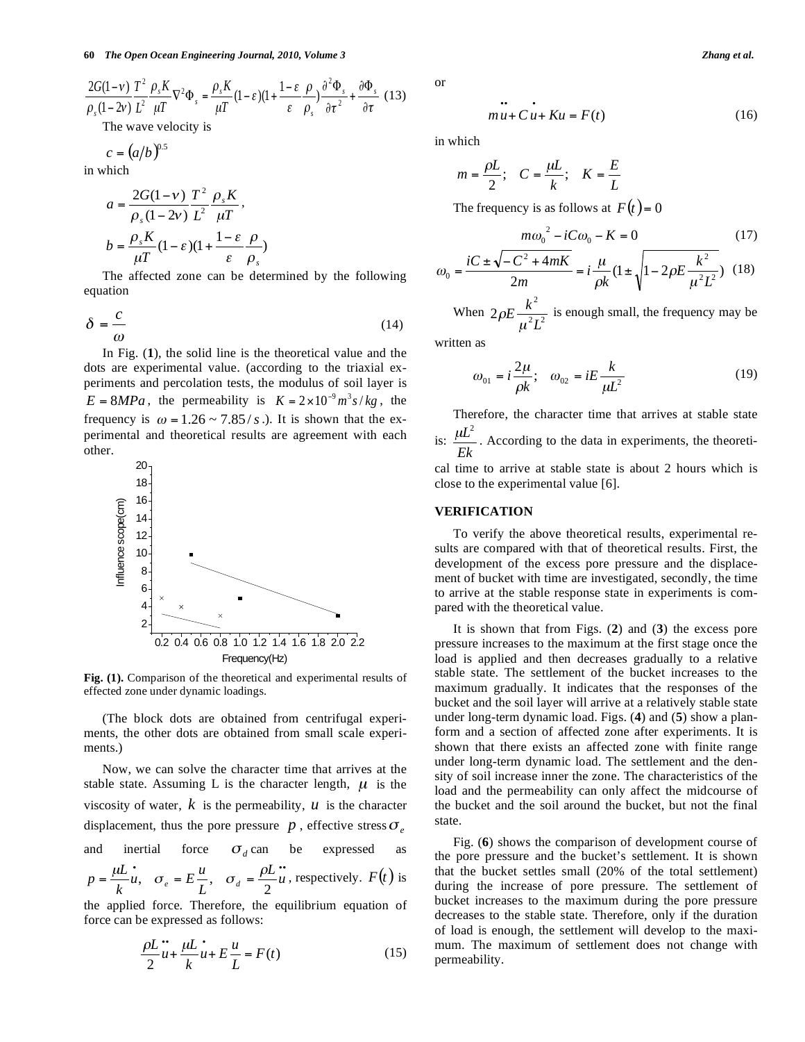$$
\frac{2G(1-\nu)}{\rho_s(1-2\nu)} \frac{T^2}{L^2} \frac{\rho_s K}{\mu T} \nabla^2 \Phi_s = \frac{\rho_s K}{\mu T} (1-\varepsilon)(1+\frac{1-\varepsilon}{\varepsilon} \frac{\rho}{\rho_s}) \frac{\partial^2 \Phi_s}{\partial \tau^2} + \frac{\partial \Phi_s}{\partial \tau} (13)
$$
  
The wave velocity is

$$
c = (a/b)^{0.5}
$$

in which

$$
a = \frac{2G(1-\nu)}{\rho_s(1-2\nu)} \frac{T^2}{L^2} \frac{\rho_s K}{\mu T},
$$

$$
b = \frac{\rho_s K}{\mu T} (1-\varepsilon)(1+\frac{1-\varepsilon}{\varepsilon} \frac{\rho}{\rho_s})
$$

The affected zone can be determined by the following equation

$$
\delta = \frac{c}{\omega} \tag{14}
$$

In Fig. (**1**), the solid line is the theoretical value and the dots are experimental value. (according to the triaxial experiments and percolation tests, the modulus of soil layer is  $E = 8MPa$ , the permeability is  $K = 2 \times 10^{-9} m^3 s/kg$ , the frequency is  $\omega = 1.26 \sim 7.85/s$ .). It is shown that the experimental and theoretical results are agreement with each other.



**Fig. (1).** Comparison of the theoretical and experimental results of effected zone under dynamic loadings.

(The block dots are obtained from centrifugal experiments, the other dots are obtained from small scale experiments.)

Now, we can solve the character time that arrives at the stable state. Assuming L is the character length,  $\mu$  is the viscosity of water,  $k$  is the permeability,  $u$  is the character displacement, thus the pore pressure  $p$ , effective stress  $\sigma_{e}$ and inertial force  $\sigma_d$  can be expressed as  $=\frac{\mu L}{\mu}u, \quad \sigma_e = E\frac{u}{\tau}, \quad \sigma_d = \frac{\rho L}{2}u$ *L*  $\frac{\partial}{\partial u}$ ,  $\sigma_e = E \frac{u}{u}$ *k*  $p = \frac{\mu L}{k} \dot{u}$ ,  $\sigma_e = E \frac{u}{L}$ ,  $\sigma_d = \frac{\rho L}{2} \dot{u}$ , respectively.  $F(t)$  is the applied force. Therefore, the equilibrium equation of

force can be expressed as follows:

$$
\frac{\rho L}{2}u + \frac{\mu L}{k}u + E\frac{u}{L} = F(t)
$$
\n(15)

or

$$
mu + Cu + Ku = F(t)
$$
 (16)

in which

$$
m = \frac{\rho L}{2}; \quad C = \frac{\mu L}{k}; \quad K = \frac{E}{L}
$$

The frequency is as follows at  $F(t) = 0$ 

$$
m\omega_0^2 - iC\omega_0 - K = 0 \tag{17}
$$

$$
\omega_0 = \frac{iC \pm \sqrt{-C^2 + 4mK}}{2m} = i\frac{\mu}{\rho k} (1 \pm \sqrt{1 - 2\rho E \frac{k^2}{\mu^2 L^2}}) \tag{18}
$$

When  $2\rho E \frac{k^2}{\mu^2 L^2}$ 2 *L*  $E\frac{k}{\lambda}$ μ  $\rho E \frac{\kappa}{\sqrt{2\pi}}$  is enough small, the frequency may be

written as

$$
\omega_{01} = i \frac{2\mu}{\rho k}; \quad \omega_{02} = iE \frac{k}{\mu L^2}
$$
 (19)

Therefore, the character time that arrives at stable state is: *Ek*  $\mu L^2$ . According to the data in experiments, the theoreti-

cal time to arrive at stable state is about 2 hours which is close to the experimental value [6].

## **VERIFICATION**

To verify the above theoretical results, experimental results are compared with that of theoretical results. First, the development of the excess pore pressure and the displacement of bucket with time are investigated, secondly, the time to arrive at the stable response state in experiments is compared with the theoretical value.

It is shown that from Figs. (**2**) and (**3**) the excess pore pressure increases to the maximum at the first stage once the load is applied and then decreases gradually to a relative stable state. The settlement of the bucket increases to the maximum gradually. It indicates that the responses of the bucket and the soil layer will arrive at a relatively stable state under long-term dynamic load. Figs. (**4**) and (**5**) show a planform and a section of affected zone after experiments. It is shown that there exists an affected zone with finite range under long-term dynamic load. The settlement and the density of soil increase inner the zone. The characteristics of the load and the permeability can only affect the midcourse of the bucket and the soil around the bucket, but not the final state.

Fig. (**6**) shows the comparison of development course of the pore pressure and the bucket's settlement. It is shown that the bucket settles small (20% of the total settlement) during the increase of pore pressure. The settlement of bucket increases to the maximum during the pore pressure decreases to the stable state. Therefore, only if the duration of load is enough, the settlement will develop to the maximum. The maximum of settlement does not change with permeability.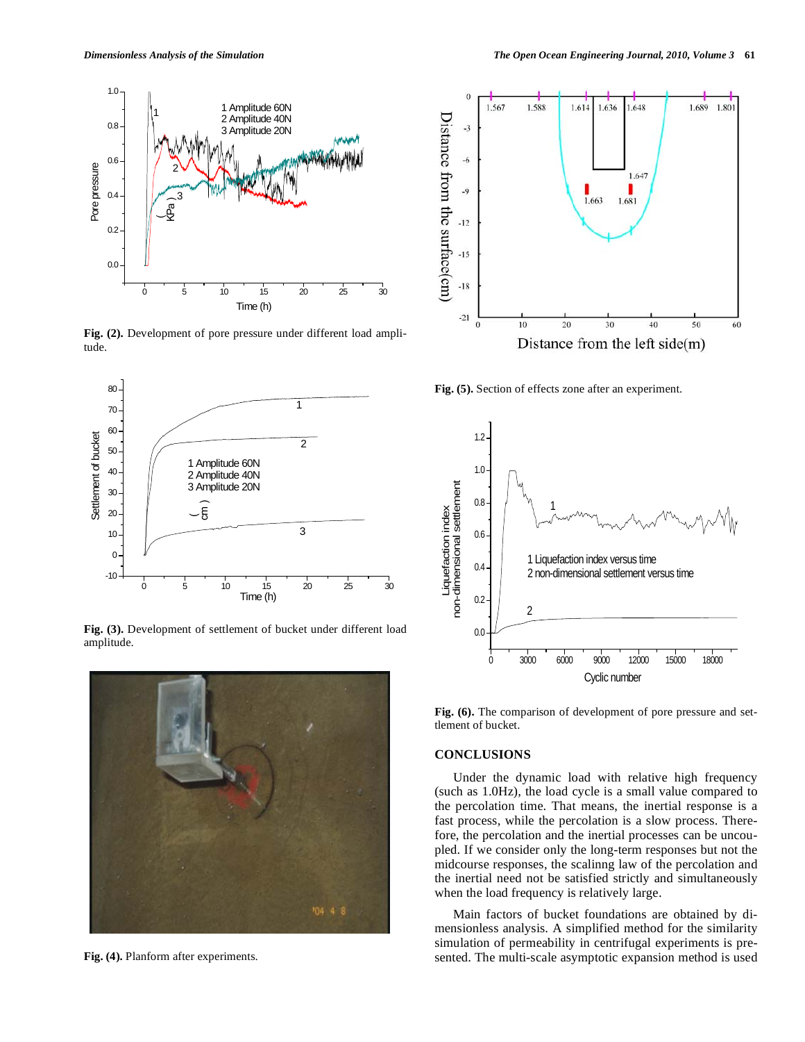

Fig. (2). Development of pore pressure under different load amplitude.



**Fig. (3).** Development of settlement of bucket under different load amplitude.



Fig. (4). Planform after experiments.



**Fig. (5).** Section of effects zone after an experiment.



Fig. (6). The comparison of development of pore pressure and settlement of bucket.

# **CONCLUSIONS**

Under the dynamic load with relative high frequency (such as 1.0Hz), the load cycle is a small value compared to the percolation time. That means, the inertial response is a fast process, while the percolation is a slow process. Therefore, the percolation and the inertial processes can be uncoupled. If we consider only the long-term responses but not the midcourse responses, the scalinng law of the percolation and the inertial need not be satisfied strictly and simultaneously when the load frequency is relatively large.

Main factors of bucket foundations are obtained by dimensionless analysis. A simplified method for the similarity simulation of permeability in centrifugal experiments is presented. The multi-scale asymptotic expansion method is used